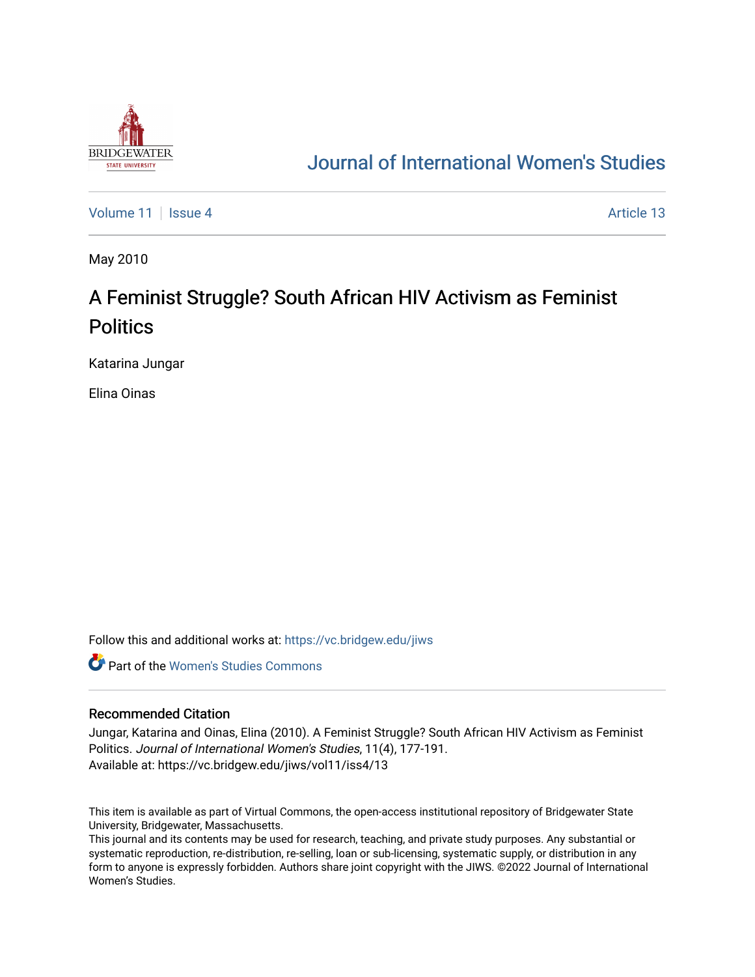

# [Journal of International Women's Studies](https://vc.bridgew.edu/jiws)

[Volume 11](https://vc.bridgew.edu/jiws/vol11) | [Issue 4](https://vc.bridgew.edu/jiws/vol11/iss4) Article 13

May 2010

# A Feminist Struggle? South African HIV Activism as Feminist **Politics**

Katarina Jungar

Elina Oinas

Follow this and additional works at: [https://vc.bridgew.edu/jiws](https://vc.bridgew.edu/jiws?utm_source=vc.bridgew.edu%2Fjiws%2Fvol11%2Fiss4%2F13&utm_medium=PDF&utm_campaign=PDFCoverPages)

**C** Part of the Women's Studies Commons

#### Recommended Citation

Jungar, Katarina and Oinas, Elina (2010). A Feminist Struggle? South African HIV Activism as Feminist Politics. Journal of International Women's Studies, 11(4), 177-191. Available at: https://vc.bridgew.edu/jiws/vol11/iss4/13

This item is available as part of Virtual Commons, the open-access institutional repository of Bridgewater State University, Bridgewater, Massachusetts.

This journal and its contents may be used for research, teaching, and private study purposes. Any substantial or systematic reproduction, re-distribution, re-selling, loan or sub-licensing, systematic supply, or distribution in any form to anyone is expressly forbidden. Authors share joint copyright with the JIWS. ©2022 Journal of International Women's Studies.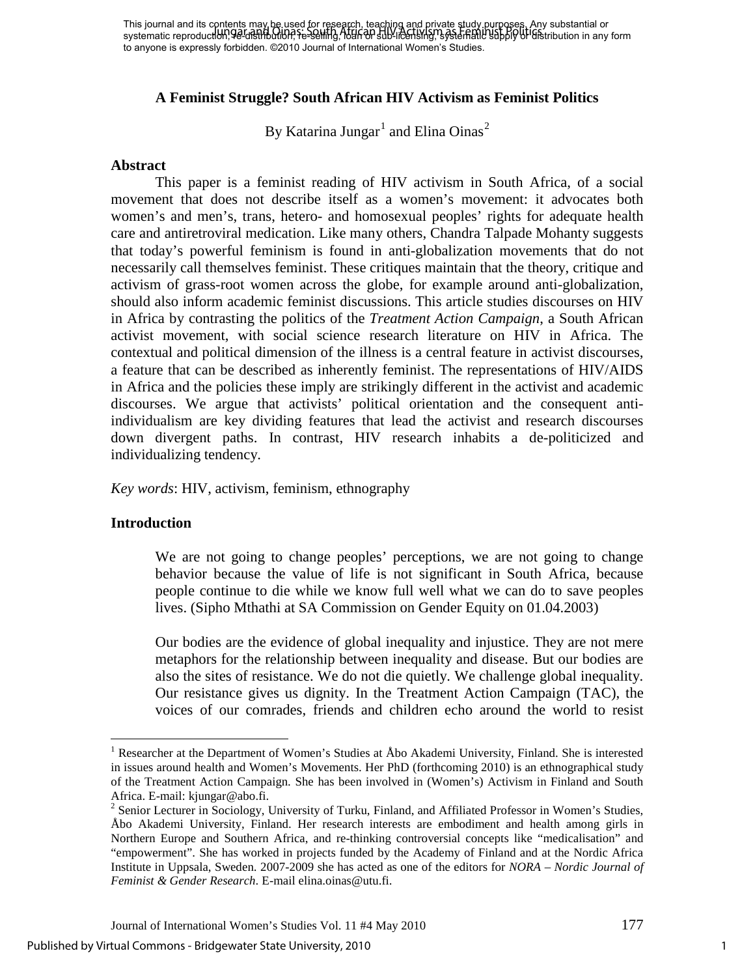# **A Feminist Struggle? South African HIV Activism as Feminist Politics**

By Katarina Jungar $^1$  $^1$  and Elina Oinas $^2$  $^2$ 

#### **Abstract**

This paper is a feminist reading of HIV activism in South Africa, of a social movement that does not describe itself as a women's movement: it advocates both women's and men's, trans, hetero- and homosexual peoples' rights for adequate health care and antiretroviral medication. Like many others, Chandra Talpade Mohanty suggests that today's powerful feminism is found in anti-globalization movements that do not necessarily call themselves feminist. These critiques maintain that the theory, critique and activism of grass-root women across the globe, for example around anti-globalization, should also inform academic feminist discussions. This article studies discourses on HIV in Africa by contrasting the politics of the *Treatment Action Campaign*, a South African activist movement, with social science research literature on HIV in Africa. The contextual and political dimension of the illness is a central feature in activist discourses, a feature that can be described as inherently feminist. The representations of HIV/AIDS in Africa and the policies these imply are strikingly different in the activist and academic discourses. We argue that activists' political orientation and the consequent antiindividualism are key dividing features that lead the activist and research discourses down divergent paths. In contrast, HIV research inhabits a de-politicized and individualizing tendency.

*Key words*: HIV, activism, feminism, ethnography

#### **Introduction**

 $\overline{a}$ 

We are not going to change peoples' perceptions, we are not going to change behavior because the value of life is not significant in South Africa, because people continue to die while we know full well what we can do to save peoples lives. (Sipho Mthathi at SA Commission on Gender Equity on 01.04.2003)

Our bodies are the evidence of global inequality and injustice. They are not mere metaphors for the relationship between inequality and disease. But our bodies are also the sites of resistance. We do not die quietly. We challenge global inequality. Our resistance gives us dignity. In the Treatment Action Campaign (TAC), the voices of our comrades, friends and children echo around the world to resist

<span id="page-1-0"></span><sup>&</sup>lt;sup>1</sup> Researcher at the Department of Women's Studies at Åbo Akademi University, Finland. She is interested in issues around health and Women's Movements. Her PhD (forthcoming 2010) is an ethnographical study of the Treatment Action Campaign. She has been involved in (Women's) Activism in Finland and South Africa. E-mail: kjungar@abo.fi.<br><sup>2</sup> Senior Lecturer in Sociology, University of Turku, Finland, and Affiliated Professor in Women's Studies,

<span id="page-1-1"></span>Åbo Akademi University, Finland. Her research interests are embodiment and health among girls in Northern Europe and Southern Africa, and re-thinking controversial concepts like "medicalisation" and "empowerment". She has worked in projects funded by the Academy of Finland and at the Nordic Africa Institute in Uppsala, Sweden. 2007-2009 she has acted as one of the editors for *NORA – Nordic Journal of Feminist & Gender Research*. E-mail elina.oinas@utu.fi.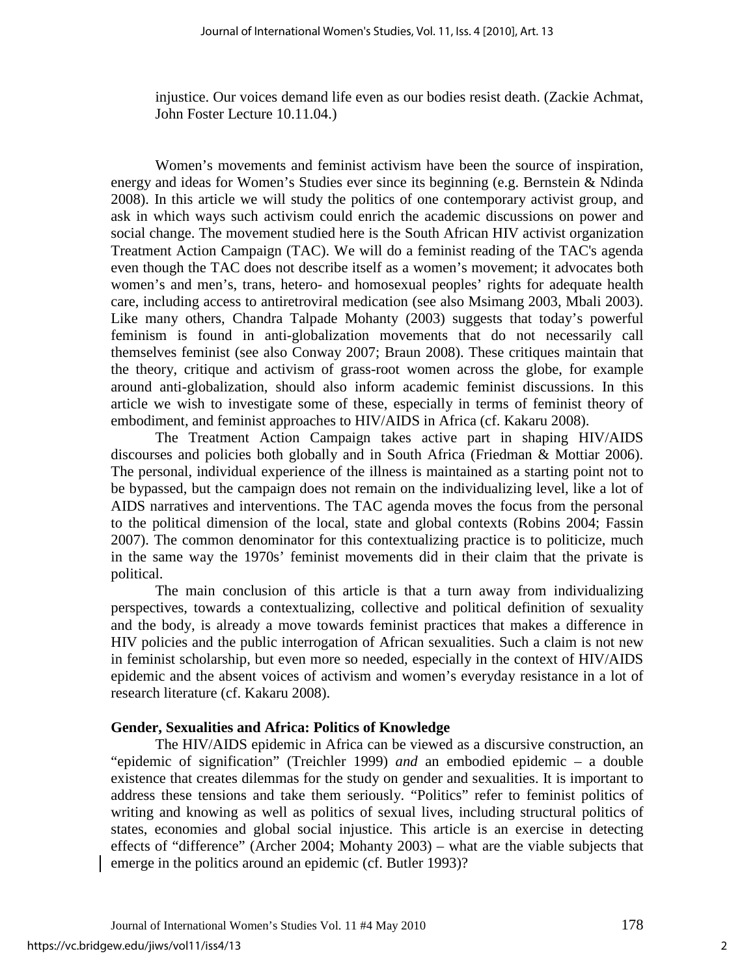injustice. Our voices demand life even as our bodies resist death. (Zackie Achmat, John Foster Lecture 10.11.04.)

Women's movements and feminist activism have been the source of inspiration, energy and ideas for Women's Studies ever since its beginning (e.g. Bernstein & Ndinda 2008). In this article we will study the politics of one contemporary activist group, and ask in which ways such activism could enrich the academic discussions on power and social change. The movement studied here is the South African HIV activist organization Treatment Action Campaign (TAC). We will do a feminist reading of the TAC's agenda even though the TAC does not describe itself as a women's movement; it advocates both women's and men's, trans, hetero- and homosexual peoples' rights for adequate health care, including access to antiretroviral medication (see also Msimang 2003, Mbali 2003). Like many others, Chandra Talpade Mohanty (2003) suggests that today's powerful feminism is found in anti-globalization movements that do not necessarily call themselves feminist (see also Conway 2007; Braun 2008). These critiques maintain that the theory, critique and activism of grass-root women across the globe, for example around anti-globalization, should also inform academic feminist discussions. In this article we wish to investigate some of these, especially in terms of feminist theory of embodiment, and feminist approaches to HIV/AIDS in Africa (cf. Kakaru 2008).

The Treatment Action Campaign takes active part in shaping HIV/AIDS discourses and policies both globally and in South Africa (Friedman & Mottiar 2006). The personal, individual experience of the illness is maintained as a starting point not to be bypassed, but the campaign does not remain on the individualizing level, like a lot of AIDS narratives and interventions. The TAC agenda moves the focus from the personal to the political dimension of the local, state and global contexts (Robins 2004; Fassin 2007). The common denominator for this contextualizing practice is to politicize, much in the same way the 1970s' feminist movements did in their claim that the private is political.

The main conclusion of this article is that a turn away from individualizing perspectives, towards a contextualizing, collective and political definition of sexuality and the body, is already a move towards feminist practices that makes a difference in HIV policies and the public interrogation of African sexualities. Such a claim is not new in feminist scholarship, but even more so needed, especially in the context of HIV/AIDS epidemic and the absent voices of activism and women's everyday resistance in a lot of research literature (cf. Kakaru 2008).

#### **Gender, Sexualities and Africa: Politics of Knowledge**

The HIV/AIDS epidemic in Africa can be viewed as a discursive construction, an "epidemic of signification" (Treichler 1999) *and* an embodied epidemic – a double existence that creates dilemmas for the study on gender and sexualities. It is important to address these tensions and take them seriously. "Politics" refer to feminist politics of writing and knowing as well as politics of sexual lives, including structural politics of states, economies and global social injustice. This article is an exercise in detecting effects of "difference" (Archer 2004; Mohanty 2003) – what are the viable subjects that emerge in the politics around an epidemic (cf. Butler 1993)?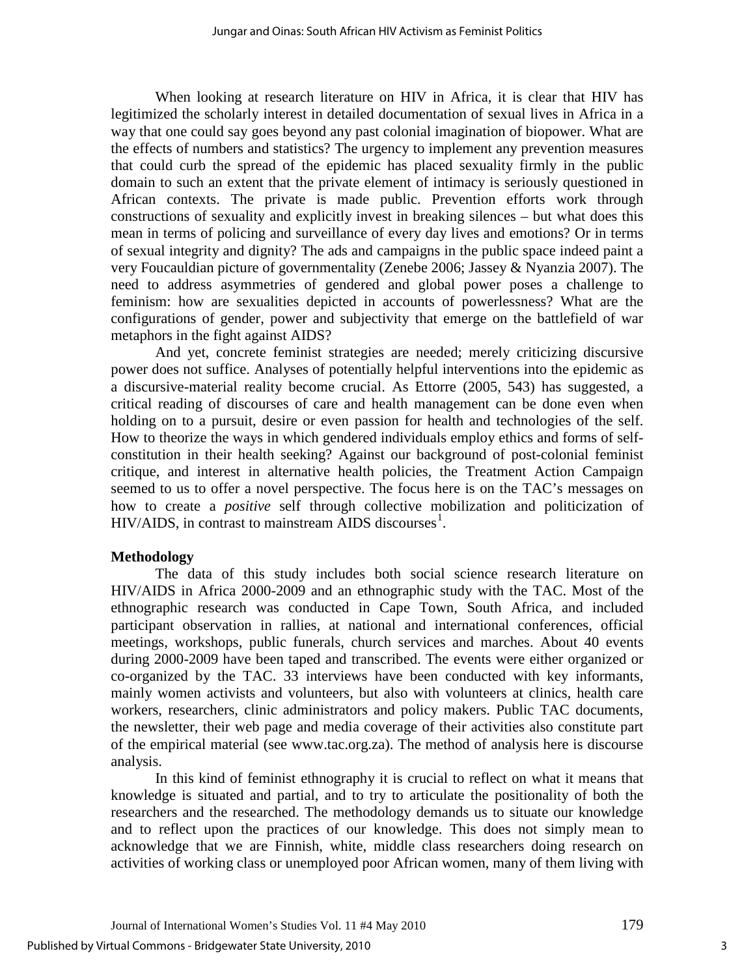When looking at research literature on HIV in Africa, it is clear that HIV has legitimized the scholarly interest in detailed documentation of sexual lives in Africa in a way that one could say goes beyond any past colonial imagination of biopower. What are the effects of numbers and statistics? The urgency to implement any prevention measures that could curb the spread of the epidemic has placed sexuality firmly in the public domain to such an extent that the private element of intimacy is seriously questioned in African contexts. The private is made public. Prevention efforts work through constructions of sexuality and explicitly invest in breaking silences – but what does this mean in terms of policing and surveillance of every day lives and emotions? Or in terms of sexual integrity and dignity? The ads and campaigns in the public space indeed paint a very Foucauldian picture of governmentality (Zenebe 2006; Jassey & Nyanzia 2007). The need to address asymmetries of gendered and global power poses a challenge to feminism: how are sexualities depicted in accounts of powerlessness? What are the configurations of gender, power and subjectivity that emerge on the battlefield of war metaphors in the fight against AIDS?

And yet, concrete feminist strategies are needed; merely criticizing discursive power does not suffice. Analyses of potentially helpful interventions into the epidemic as a discursive-material reality become crucial. As Ettorre (2005, 543) has suggested, a critical reading of discourses of care and health management can be done even when holding on to a pursuit, desire or even passion for health and technologies of the self. How to theorize the ways in which gendered individuals employ ethics and forms of selfconstitution in their health seeking? Against our background of post-colonial feminist critique, and interest in alternative health policies, the Treatment Action Campaign seemed to us to offer a novel perspective. The focus here is on the TAC's messages on how to create a *positive* self through collective mobilization and politicization of  $HIV/AIDS$ , in contrast to mainstream  $AIDS$  discourses<sup>[1](#page-15-0)</sup>.

# **Methodology**

The data of this study includes both social science research literature on HIV/AIDS in Africa 2000-2009 and an ethnographic study with the TAC. Most of the ethnographic research was conducted in Cape Town, South Africa, and included participant observation in rallies, at national and international conferences, official meetings, workshops, public funerals, church services and marches. About 40 events during 2000-2009 have been taped and transcribed. The events were either organized or co-organized by the TAC. 33 interviews have been conducted with key informants, mainly women activists and volunteers, but also with volunteers at clinics, health care workers, researchers, clinic administrators and policy makers. Public TAC documents, the newsletter, their web page and media coverage of their activities also constitute part of the empirical material (see www.tac.org.za). The method of analysis here is discourse analysis.

In this kind of feminist ethnography it is crucial to reflect on what it means that knowledge is situated and partial, and to try to articulate the positionality of both the researchers and the researched. The methodology demands us to situate our knowledge and to reflect upon the practices of our knowledge. This does not simply mean to acknowledge that we are Finnish, white, middle class researchers doing research on activities of working class or unemployed poor African women, many of them living with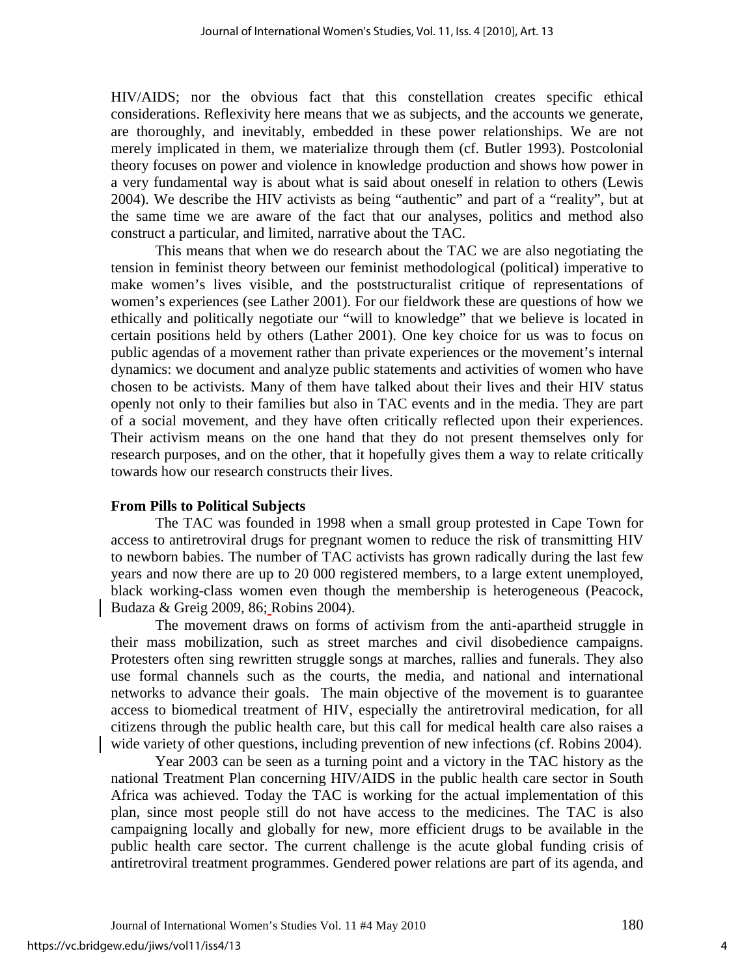HIV/AIDS; nor the obvious fact that this constellation creates specific ethical considerations. Reflexivity here means that we as subjects, and the accounts we generate, are thoroughly, and inevitably, embedded in these power relationships. We are not merely implicated in them, we materialize through them (cf. Butler 1993). Postcolonial theory focuses on power and violence in knowledge production and shows how power in a very fundamental way is about what is said about oneself in relation to others (Lewis 2004). We describe the HIV activists as being "authentic" and part of a "reality", but at the same time we are aware of the fact that our analyses, politics and method also construct a particular, and limited, narrative about the TAC.

This means that when we do research about the TAC we are also negotiating the tension in feminist theory between our feminist methodological (political) imperative to make women's lives visible, and the poststructuralist critique of representations of women's experiences (see Lather 2001). For our fieldwork these are questions of how we ethically and politically negotiate our "will to knowledge" that we believe is located in certain positions held by others (Lather 2001). One key choice for us was to focus on public agendas of a movement rather than private experiences or the movement's internal dynamics: we document and analyze public statements and activities of women who have chosen to be activists. Many of them have talked about their lives and their HIV status openly not only to their families but also in TAC events and in the media. They are part of a social movement, and they have often critically reflected upon their experiences. Their activism means on the one hand that they do not present themselves only for research purposes, and on the other, that it hopefully gives them a way to relate critically towards how our research constructs their lives.

# **From Pills to Political Subjects**

The TAC was founded in 1998 when a small group protested in Cape Town for access to antiretroviral drugs for pregnant women to reduce the risk of transmitting HIV to newborn babies. The number of TAC activists has grown radically during the last few years and now there are up to 20 000 registered members, to a large extent unemployed, black working-class women even though the membership is heterogeneous (Peacock, Budaza & Greig 2009, 86; Robins 2004).

The movement draws on forms of activism from the anti-apartheid struggle in their mass mobilization, such as street marches and civil disobedience campaigns. Protesters often sing rewritten struggle songs at marches, rallies and funerals. They also use formal channels such as the courts, the media, and national and international networks to advance their goals. The main objective of the movement is to guarantee access to biomedical treatment of HIV, especially the antiretroviral medication, for all citizens through the public health care, but this call for medical health care also raises a wide variety of other questions, including prevention of new infections (cf. Robins 2004).

Year 2003 can be seen as a turning point and a victory in the TAC history as the national Treatment Plan concerning HIV/AIDS in the public health care sector in South Africa was achieved. Today the TAC is working for the actual implementation of this plan, since most people still do not have access to the medicines. The TAC is also campaigning locally and globally for new, more efficient drugs to be available in the public health care sector. The current challenge is the acute global funding crisis of antiretroviral treatment programmes. Gendered power relations are part of its agenda, and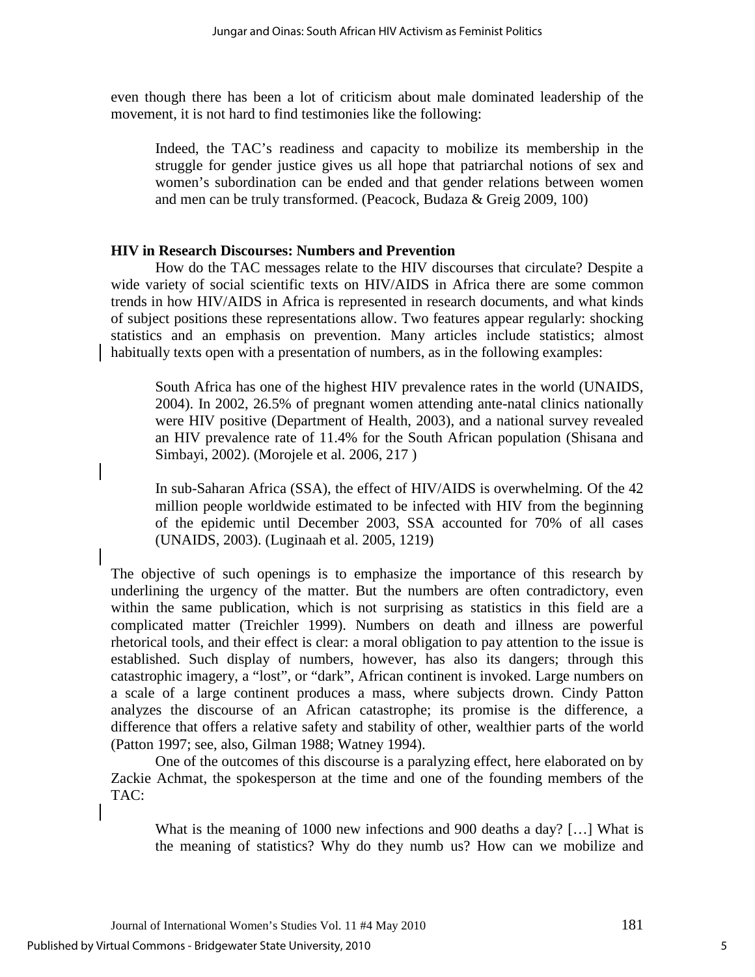even though there has been a lot of criticism about male dominated leadership of the movement, it is not hard to find testimonies like the following:

Indeed, the TAC's readiness and capacity to mobilize its membership in the struggle for gender justice gives us all hope that patriarchal notions of sex and women's subordination can be ended and that gender relations between women and men can be truly transformed. (Peacock, Budaza & Greig 2009, 100)

# **HIV in Research Discourses: Numbers and Prevention**

How do the TAC messages relate to the HIV discourses that circulate? Despite a wide variety of social scientific texts on HIV/AIDS in Africa there are some common trends in how HIV/AIDS in Africa is represented in research documents, and what kinds of subject positions these representations allow. Two features appear regularly: shocking statistics and an emphasis on prevention. Many articles include statistics; almost habitually texts open with a presentation of numbers, as in the following examples:

South Africa has one of the highest HIV prevalence rates in the world [\(UNAIDS,](http://www.sciencedirect.com/science?_ob=ArticleURL&_aset=V-WA-A-W-BZB-MsSAYWA-UUW-U-AAWCZZYUCD-AAWBWVYYCD-WZWEBWZCD-BZB-U&_rdoc=10&_fmt=full&_udi=B6VBF-4GR8N8S-1&_coverDate=07%2F27%2F2005&_cdi=5925&_orig=search&_st=13&_sort=d&view=c&_acct=C000049223&_version=1&_urlVersion=0&_userid=952952&md5=6872d23fe0ae6a5a8e0492e11398ffcb#bib28)  [2004\)](http://www.sciencedirect.com/science?_ob=ArticleURL&_aset=V-WA-A-W-BZB-MsSAYWA-UUW-U-AAWCZZYUCD-AAWBWVYYCD-WZWEBWZCD-BZB-U&_rdoc=10&_fmt=full&_udi=B6VBF-4GR8N8S-1&_coverDate=07%2F27%2F2005&_cdi=5925&_orig=search&_st=13&_sort=d&view=c&_acct=C000049223&_version=1&_urlVersion=0&_userid=952952&md5=6872d23fe0ae6a5a8e0492e11398ffcb#bib28). In 2002, 26.5% of pregnant women attending ante-natal clinics nationally were HIV positive [\(Department of Health, 2003\)](http://www.sciencedirect.com/science?_ob=ArticleURL&_aset=V-WA-A-W-BZB-MsSAYWA-UUW-U-AAWCZZYUCD-AAWBWVYYCD-WZWEBWZCD-BZB-U&_rdoc=10&_fmt=full&_udi=B6VBF-4GR8N8S-1&_coverDate=07%2F27%2F2005&_cdi=5925&_orig=search&_st=13&_sort=d&view=c&_acct=C000049223&_version=1&_urlVersion=0&_userid=952952&md5=6872d23fe0ae6a5a8e0492e11398ffcb#bib6), and a national survey revealed an HIV prevalence rate of 11.4% for the South African population [\(Shisana and](http://www.sciencedirect.com/science?_ob=ArticleURL&_aset=V-WA-A-W-BZB-MsSAYWA-UUW-U-AAWCZZYUCD-AAWBWVYYCD-WZWEBWZCD-BZB-U&_rdoc=10&_fmt=full&_udi=B6VBF-4GR8N8S-1&_coverDate=07%2F27%2F2005&_cdi=5925&_orig=search&_st=13&_sort=d&view=c&_acct=C000049223&_version=1&_urlVersion=0&_userid=952952&md5=6872d23fe0ae6a5a8e0492e11398ffcb#bib25)  [Simbayi, 2002\)](http://www.sciencedirect.com/science?_ob=ArticleURL&_aset=V-WA-A-W-BZB-MsSAYWA-UUW-U-AAWCZZYUCD-AAWBWVYYCD-WZWEBWZCD-BZB-U&_rdoc=10&_fmt=full&_udi=B6VBF-4GR8N8S-1&_coverDate=07%2F27%2F2005&_cdi=5925&_orig=search&_st=13&_sort=d&view=c&_acct=C000049223&_version=1&_urlVersion=0&_userid=952952&md5=6872d23fe0ae6a5a8e0492e11398ffcb#bib25). (Morojele et al. 2006, 217 )

In sub-Saharan Africa (SSA), the effect of HIV/AIDS is overwhelming. Of the 42 million people worldwide estimated to be infected with HIV from the beginning of the epidemic until December 2003, SSA accounted for 70% of all cases [\(UNAIDS, 2003\)](http://www.sciencedirect.com/science?_ob=ArticleURL&_aset=V-WA-A-W-BZB-MsSAYWA-UUW-U-AAWCZZYUCD-AAWBWVYYCD-WZWEBWZCD-BZB-U&_rdoc=31&_fmt=full&_udi=B6VBF-4D48X7T-7&_coverDate=03%2F01%2F2005&_cdi=5925&_orig=search&_st=13&_sort=d&view=c&_acct=C000049223&_version=1&_urlVersion=0&_userid=952952&md5=18bd7f7edfa681b52f2b92254742ec60#bib46). (Luginaah et al. 2005, 1219)

The objective of such openings is to emphasize the importance of this research by underlining the urgency of the matter. But the numbers are often contradictory, even within the same publication, which is not surprising as statistics in this field are a complicated matter (Treichler 1999). Numbers on death and illness are powerful rhetorical tools, and their effect is clear: a moral obligation to pay attention to the issue is established. Such display of numbers, however, has also its dangers; through this catastrophic imagery, a "lost", or "dark", African continent is invoked. Large numbers on a scale of a large continent produces a mass, where subjects drown. Cindy Patton analyzes the discourse of an African catastrophe; its promise is the difference, a difference that offers a relative safety and stability of other, wealthier parts of the world (Patton 1997; see, also, Gilman 1988; Watney 1994).

One of the outcomes of this discourse is a paralyzing effect, here elaborated on by Zackie Achmat, the spokesperson at the time and one of the founding members of the TAC:

What is the meaning of 1000 new infections and 900 deaths a day? [...] What is the meaning of statistics? Why do they numb us? How can we mobilize and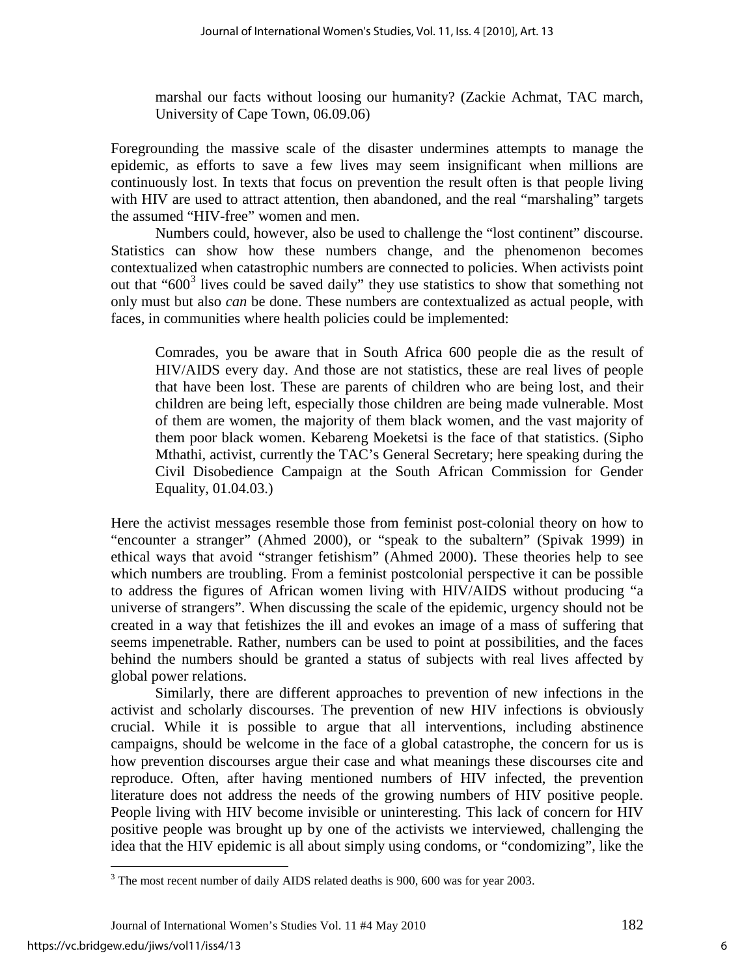marshal our facts without loosing our humanity? (Zackie Achmat, TAC march, University of Cape Town, 06.09.06)

Foregrounding the massive scale of the disaster undermines attempts to manage the epidemic, as efforts to save a few lives may seem insignificant when millions are continuously lost. In texts that focus on prevention the result often is that people living with HIV are used to attract attention, then abandoned, and the real "marshaling" targets the assumed "HIV-free" women and men.

Numbers could, however, also be used to challenge the "lost continent" discourse. Statistics can show how these numbers change, and the phenomenon becomes contextualized when catastrophic numbers are connected to policies. When activists point out that " $600<sup>3</sup>$  $600<sup>3</sup>$  $600<sup>3</sup>$  lives could be saved daily" they use statistics to show that something not only must but also *can* be done. These numbers are contextualized as actual people, with faces, in communities where health policies could be implemented:

Comrades, you be aware that in South Africa 600 people die as the result of HIV/AIDS every day. And those are not statistics, these are real lives of people that have been lost. These are parents of children who are being lost, and their children are being left, especially those children are being made vulnerable. Most of them are women, the majority of them black women, and the vast majority of them poor black women. Kebareng Moeketsi is the face of that statistics. (Sipho Mthathi, activist, currently the TAC's General Secretary; here speaking during the Civil Disobedience Campaign at the South African Commission for Gender Equality, 01.04.03.)

Here the activist messages resemble those from feminist post-colonial theory on how to "encounter a stranger" (Ahmed 2000), or "speak to the subaltern" (Spivak 1999) in ethical ways that avoid "stranger fetishism" (Ahmed 2000). These theories help to see which numbers are troubling. From a feminist postcolonial perspective it can be possible to address the figures of African women living with HIV/AIDS without producing "a universe of strangers". When discussing the scale of the epidemic, urgency should not be created in a way that fetishizes the ill and evokes an image of a mass of suffering that seems impenetrable. Rather, numbers can be used to point at possibilities, and the faces behind the numbers should be granted a status of subjects with real lives affected by global power relations.

Similarly, there are different approaches to prevention of new infections in the activist and scholarly discourses. The prevention of new HIV infections is obviously crucial. While it is possible to argue that all interventions, including abstinence campaigns, should be welcome in the face of a global catastrophe, the concern for us is how prevention discourses argue their case and what meanings these discourses cite and reproduce. Often, after having mentioned numbers of HIV infected, the prevention literature does not address the needs of the growing numbers of HIV positive people. People living with HIV become invisible or uninteresting. This lack of concern for HIV positive people was brought up by one of the activists we interviewed, challenging the idea that the HIV epidemic is all about simply using condoms, or "condomizing", like the

 $\overline{a}$ 

<span id="page-6-0"></span> $3$  The most recent number of daily AIDS related deaths is 900, 600 was for year 2003.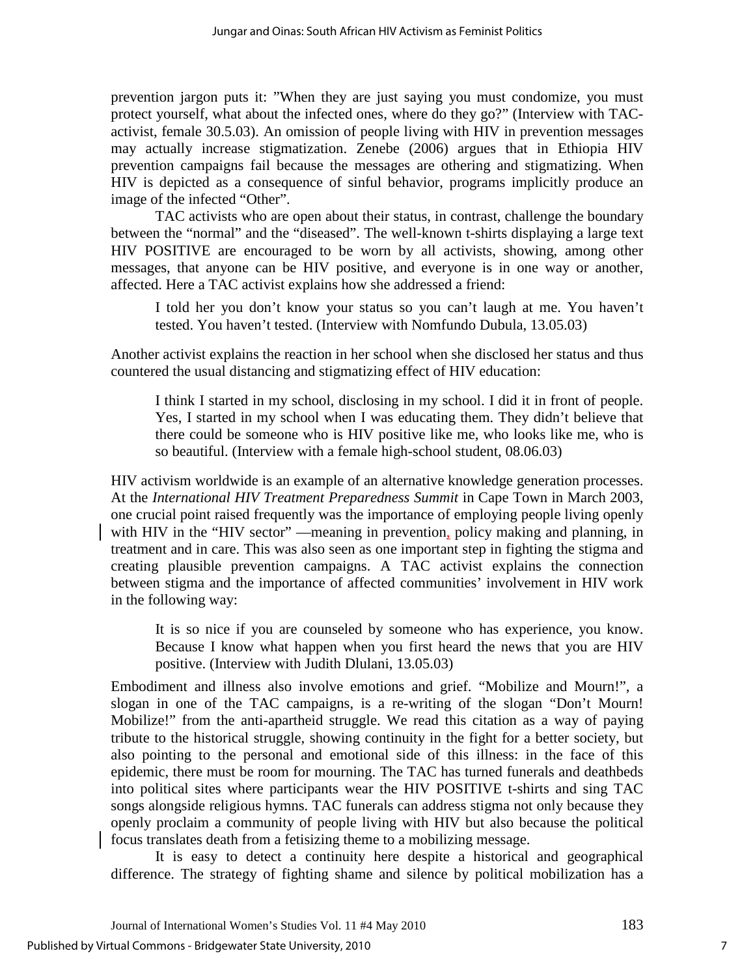prevention jargon puts it: "When they are just saying you must condomize, you must protect yourself, what about the infected ones, where do they go?" (Interview with TACactivist, female 30.5.03). An omission of people living with HIV in prevention messages may actually increase stigmatization. Zenebe (2006) argues that in Ethiopia HIV prevention campaigns fail because the messages are othering and stigmatizing. When HIV is depicted as a consequence of sinful behavior, programs implicitly produce an image of the infected "Other".

TAC activists who are open about their status, in contrast, challenge the boundary between the "normal" and the "diseased". The well-known t-shirts displaying a large text HIV POSITIVE are encouraged to be worn by all activists, showing, among other messages, that anyone can be HIV positive, and everyone is in one way or another, affected. Here a TAC activist explains how she addressed a friend:

I told her you don't know your status so you can't laugh at me. You haven't tested. You haven't tested. (Interview with Nomfundo Dubula, 13.05.03)

Another activist explains the reaction in her school when she disclosed her status and thus countered the usual distancing and stigmatizing effect of HIV education:

I think I started in my school, disclosing in my school. I did it in front of people. Yes, I started in my school when I was educating them. They didn't believe that there could be someone who is HIV positive like me, who looks like me, who is so beautiful. (Interview with a female high-school student, 08.06.03)

HIV activism worldwide is an example of an alternative knowledge generation processes. At the *International HIV Treatment Preparedness Summit* in Cape Town in March 2003, one crucial point raised frequently was the importance of employing people living openly with HIV in the "HIV sector" —meaning in prevention, policy making and planning, in treatment and in care. This was also seen as one important step in fighting the stigma and creating plausible prevention campaigns. A TAC activist explains the connection between stigma and the importance of affected communities' involvement in HIV work in the following way:

It is so nice if you are counseled by someone who has experience, you know. Because I know what happen when you first heard the news that you are HIV positive. (Interview with Judith Dlulani, 13.05.03)

Embodiment and illness also involve emotions and grief. "Mobilize and Mourn!", a slogan in one of the TAC campaigns, is a re-writing of the slogan "Don't Mourn! Mobilize!" from the anti-apartheid struggle. We read this citation as a way of paying tribute to the historical struggle, showing continuity in the fight for a better society, but also pointing to the personal and emotional side of this illness: in the face of this epidemic, there must be room for mourning. The TAC has turned funerals and deathbeds into political sites where participants wear the HIV POSITIVE t-shirts and sing TAC songs alongside religious hymns. TAC funerals can address stigma not only because they openly proclaim a community of people living with HIV but also because the political focus translates death from a fetisizing theme to a mobilizing message.

It is easy to detect a continuity here despite a historical and geographical difference. The strategy of fighting shame and silence by political mobilization has a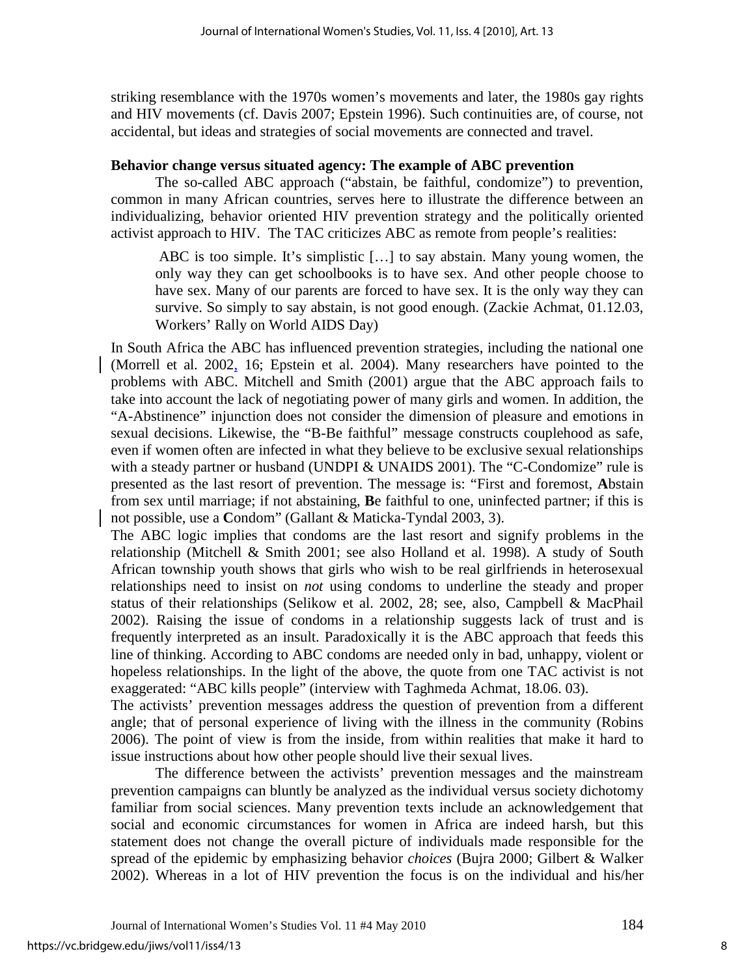striking resemblance with the 1970s women's movements and later, the 1980s gay rights and HIV movements (cf. Davis 2007; Epstein 1996). Such continuities are, of course, not accidental, but ideas and strategies of social movements are connected and travel.

# **Behavior change versus situated agency: The example of ABC prevention**

 The so-called ABC approach ("abstain, be faithful, condomize") to prevention, common in many African countries, serves here to illustrate the difference between an individualizing, behavior oriented HIV prevention strategy and the politically oriented activist approach to HIV. The TAC criticizes ABC as remote from people's realities:

ABC is too simple. It's simplistic […] to say abstain. Many young women, the only way they can get schoolbooks is to have sex. And other people choose to have sex. Many of our parents are forced to have sex. It is the only way they can survive. So simply to say abstain, is not good enough. (Zackie Achmat, 01.12.03, Workers' Rally on World AIDS Day)

In South Africa the ABC has influenced prevention strategies, including the national one (Morrell et al. 2002, 16; Epstein et al. 2004). Many researchers have pointed to the problems with ABC. Mitchell and Smith (2001) argue that the ABC approach fails to take into account the lack of negotiating power of many girls and women. In addition, the "A-Abstinence" injunction does not consider the dimension of pleasure and emotions in sexual decisions. Likewise, the "B-Be faithful" message constructs couplehood as safe, even if women often are infected in what they believe to be exclusive sexual relationships with a steady partner or husband (UNDPI & UNAIDS 2001). The "C-Condomize" rule is presented as the last resort of prevention. The message is: "First and foremost, **A**bstain from sex until marriage; if not abstaining, **B**e faithful to one, uninfected partner; if this is not possible, use a **C**ondom" (Gallant & Maticka-Tyndal 2003, 3).

The ABC logic implies that condoms are the last resort and signify problems in the relationship (Mitchell & Smith 2001; see also Holland et al. 1998). A study of South African township youth shows that girls who wish to be real girlfriends in heterosexual relationships need to insist on *not* using condoms to underline the steady and proper status of their relationships (Selikow et al. 2002, 28; see, also, Campbell & MacPhail 2002). Raising the issue of condoms in a relationship suggests lack of trust and is frequently interpreted as an insult. Paradoxically it is the ABC approach that feeds this line of thinking. According to ABC condoms are needed only in bad, unhappy, violent or hopeless relationships. In the light of the above, the quote from one TAC activist is not exaggerated: "ABC kills people" (interview with Taghmeda Achmat, 18.06. 03).

The activists' prevention messages address the question of prevention from a different angle; that of personal experience of living with the illness in the community (Robins 2006). The point of view is from the inside, from within realities that make it hard to issue instructions about how other people should live their sexual lives.

The difference between the activists' prevention messages and the mainstream prevention campaigns can bluntly be analyzed as the individual versus society dichotomy familiar from social sciences. Many prevention texts include an acknowledgement that social and economic circumstances for women in Africa are indeed harsh, but this statement does not change the overall picture of individuals made responsible for the spread of the epidemic by emphasizing behavior *choices* (Bujra 2000; Gilbert & Walker 2002). Whereas in a lot of HIV prevention the focus is on the individual and his/her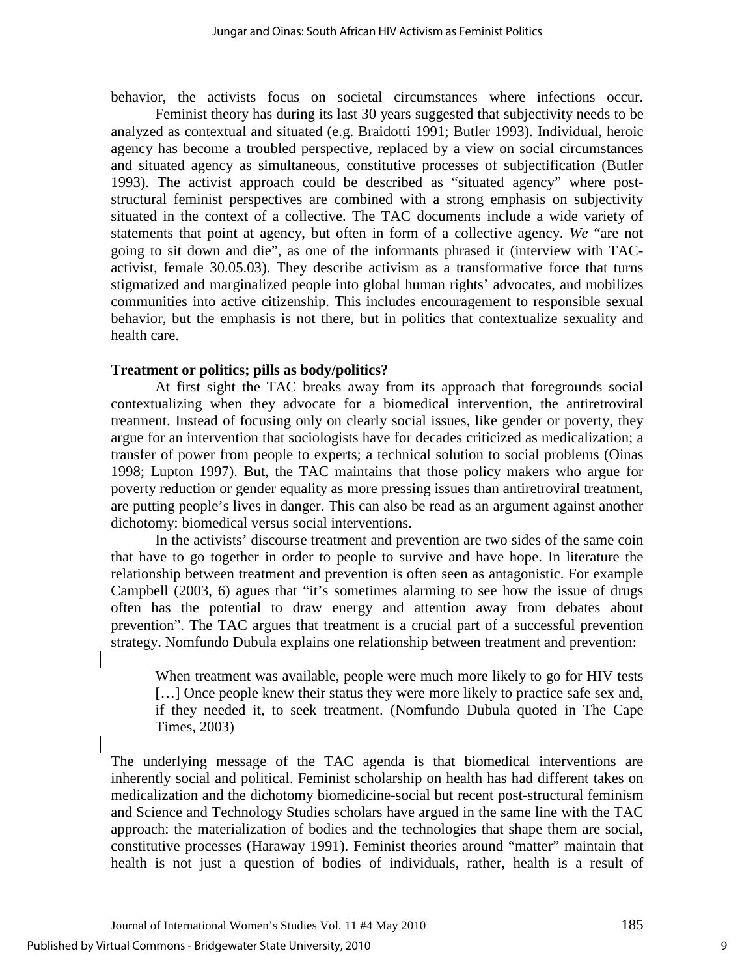behavior, the activists focus on societal circumstances where infections occur.

Feminist theory has during its last 30 years suggested that subjectivity needs to be analyzed as contextual and situated (e.g. Braidotti 1991; Butler 1993). Individual, heroic agency has become a troubled perspective, replaced by a view on social circumstances and situated agency as simultaneous, constitutive processes of subjectification (Butler 1993). The activist approach could be described as "situated agency" where poststructural feminist perspectives are combined with a strong emphasis on subjectivity situated in the context of a collective. The TAC documents include a wide variety of statements that point at agency, but often in form of a collective agency. *We* "are not going to sit down and die", as one of the informants phrased it (interview with TACactivist, female 30.05.03). They describe activism as a transformative force that turns stigmatized and marginalized people into global human rights' advocates, and mobilizes communities into active citizenship. This includes encouragement to responsible sexual behavior, but the emphasis is not there, but in politics that contextualize sexuality and health care.

# **Treatment or politics; pills as body/politics?**

At first sight the TAC breaks away from its approach that foregrounds social contextualizing when they advocate for a biomedical intervention, the antiretroviral treatment. Instead of focusing only on clearly social issues, like gender or poverty, they argue for an intervention that sociologists have for decades criticized as medicalization; a transfer of power from people to experts; a technical solution to social problems (Oinas 1998; Lupton 1997). But, the TAC maintains that those policy makers who argue for poverty reduction or gender equality as more pressing issues than antiretroviral treatment, are putting people's lives in danger. This can also be read as an argument against another dichotomy: biomedical versus social interventions.

In the activists' discourse treatment and prevention are two sides of the same coin that have to go together in order to people to survive and have hope. In literature the relationship between treatment and prevention is often seen as antagonistic. For example Campbell (2003, 6) agues that "it's sometimes alarming to see how the issue of drugs often has the potential to draw energy and attention away from debates about prevention". The TAC argues that treatment is a crucial part of a successful prevention strategy. Nomfundo Dubula explains one relationship between treatment and prevention:

When treatment was available, people were much more likely to go for HIV tests [...] Once people knew their status they were more likely to practice safe sex and, if they needed it, to seek treatment. (Nomfundo Dubula quoted in The Cape Times, 2003)

The underlying message of the TAC agenda is that biomedical interventions are inherently social and political. Feminist scholarship on health has had different takes on medicalization and the dichotomy biomedicine-social but recent post-structural feminism and Science and Technology Studies scholars have argued in the same line with the TAC approach: the materialization of bodies and the technologies that shape them are social, constitutive processes (Haraway 1991). Feminist theories around "matter" maintain that health is not just a question of bodies of individuals, rather, health is a result of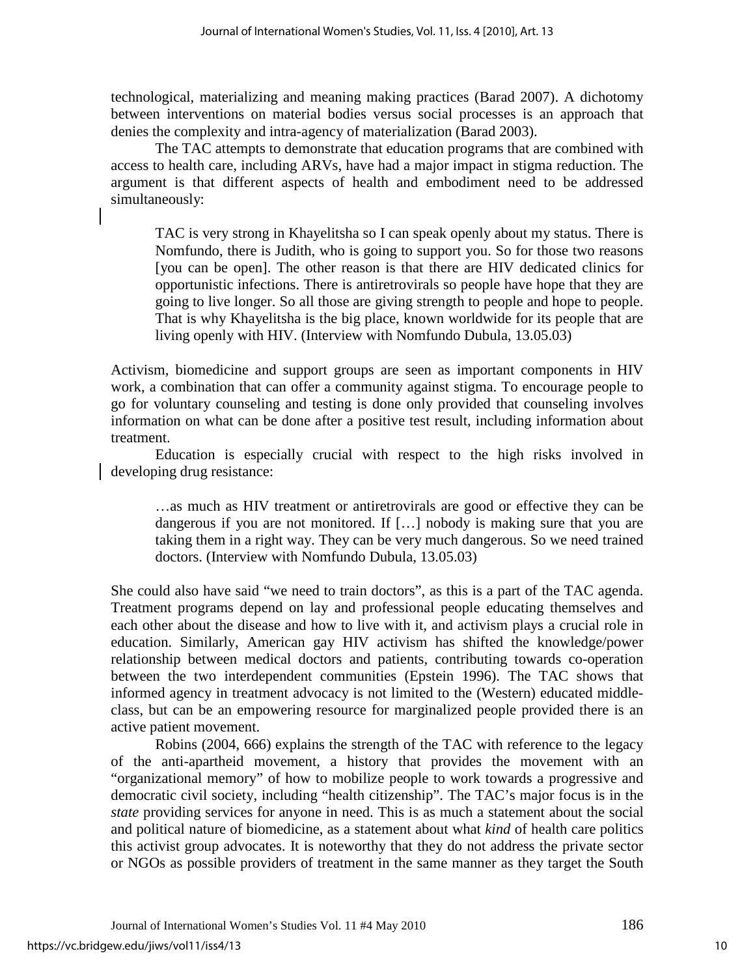technological, materializing and meaning making practices (Barad 2007). A dichotomy between interventions on material bodies versus social processes is an approach that denies the complexity and intra-agency of materialization (Barad 2003).

 The TAC attempts to demonstrate that education programs that are combined with access to health care, including ARVs, have had a major impact in stigma reduction. The argument is that different aspects of health and embodiment need to be addressed simultaneously:

TAC is very strong in Khayelitsha so I can speak openly about my status. There is Nomfundo, there is Judith, who is going to support you. So for those two reasons [you can be open]. The other reason is that there are HIV dedicated clinics for opportunistic infections. There is antiretrovirals so people have hope that they are going to live longer. So all those are giving strength to people and hope to people. That is why Khayelitsha is the big place, known worldwide for its people that are living openly with HIV. (Interview with Nomfundo Dubula, 13.05.03)

Activism, biomedicine and support groups are seen as important components in HIV work, a combination that can offer a community against stigma. To encourage people to go for voluntary counseling and testing is done only provided that counseling involves information on what can be done after a positive test result, including information about treatment.

Education is especially crucial with respect to the high risks involved in developing drug resistance:

…as much as HIV treatment or antiretrovirals are good or effective they can be dangerous if you are not monitored. If […] nobody is making sure that you are taking them in a right way. They can be very much dangerous. So we need trained doctors. (Interview with Nomfundo Dubula, 13.05.03)

She could also have said "we need to train doctors", as this is a part of the TAC agenda. Treatment programs depend on lay and professional people educating themselves and each other about the disease and how to live with it, and activism plays a crucial role in education. Similarly, American gay HIV activism has shifted the knowledge/power relationship between medical doctors and patients, contributing towards co-operation between the two interdependent communities (Epstein 1996). The TAC shows that informed agency in treatment advocacy is not limited to the (Western) educated middleclass, but can be an empowering resource for marginalized people provided there is an active patient movement.

Robins (2004, 666) explains the strength of the TAC with reference to the legacy of the anti-apartheid movement, a history that provides the movement with an "organizational memory" of how to mobilize people to work towards a progressive and democratic civil society, including "health citizenship". The TAC's major focus is in the *state* providing services for anyone in need. This is as much a statement about the social and political nature of biomedicine, as a statement about what *kind* of health care politics this activist group advocates. It is noteworthy that they do not address the private sector or NGOs as possible providers of treatment in the same manner as they target the South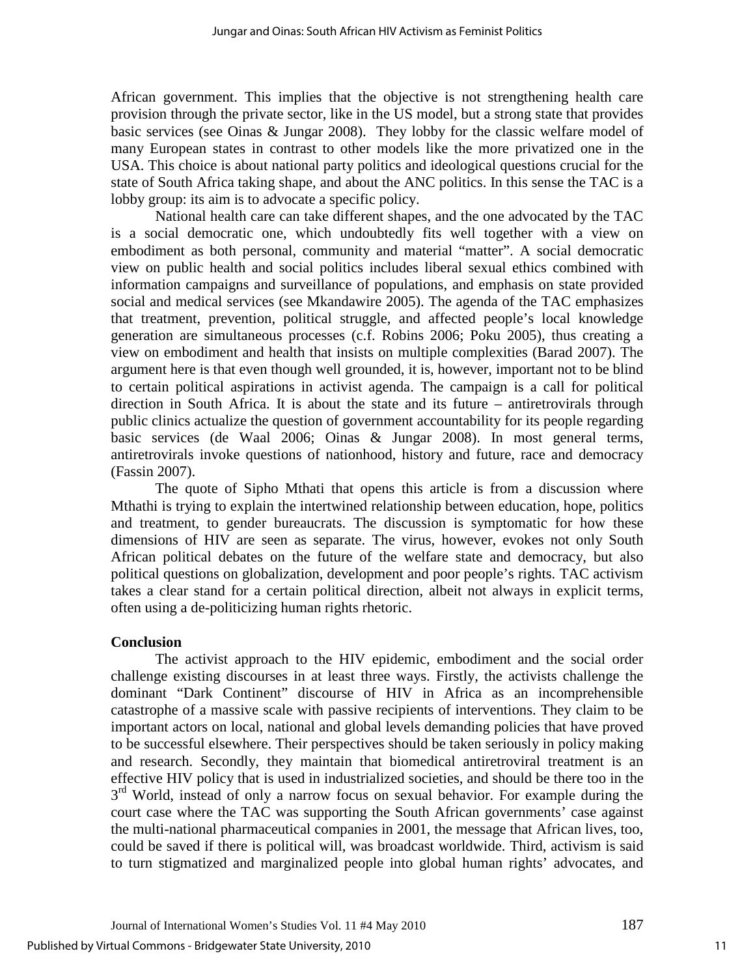African government. This implies that the objective is not strengthening health care provision through the private sector, like in the US model, but a strong state that provides basic services (see Oinas & Jungar 2008). They lobby for the classic welfare model of many European states in contrast to other models like the more privatized one in the USA. This choice is about national party politics and ideological questions crucial for the state of South Africa taking shape, and about the ANC politics. In this sense the TAC is a lobby group: its aim is to advocate a specific policy.

National health care can take different shapes, and the one advocated by the TAC is a social democratic one, which undoubtedly fits well together with a view on embodiment as both personal, community and material "matter". A social democratic view on public health and social politics includes liberal sexual ethics combined with information campaigns and surveillance of populations, and emphasis on state provided social and medical services (see Mkandawire 2005). The agenda of the TAC emphasizes that treatment, prevention, political struggle, and affected people's local knowledge generation are simultaneous processes (c.f. Robins 2006; Poku 2005), thus creating a view on embodiment and health that insists on multiple complexities (Barad 2007). The argument here is that even though well grounded, it is, however, important not to be blind to certain political aspirations in activist agenda. The campaign is a call for political direction in South Africa. It is about the state and its future – antiretrovirals through public clinics actualize the question of government accountability for its people regarding basic services (de Waal 2006; Oinas & Jungar 2008). In most general terms, antiretrovirals invoke questions of nationhood, history and future, race and democracy (Fassin 2007).

The quote of Sipho Mthati that opens this article is from a discussion where Mthathi is trying to explain the intertwined relationship between education, hope, politics and treatment, to gender bureaucrats. The discussion is symptomatic for how these dimensions of HIV are seen as separate. The virus, however, evokes not only South African political debates on the future of the welfare state and democracy, but also political questions on globalization, development and poor people's rights. TAC activism takes a clear stand for a certain political direction, albeit not always in explicit terms, often using a de-politicizing human rights rhetoric.

# **Conclusion**

The activist approach to the HIV epidemic, embodiment and the social order challenge existing discourses in at least three ways. Firstly, the activists challenge the dominant "Dark Continent" discourse of HIV in Africa as an incomprehensible catastrophe of a massive scale with passive recipients of interventions. They claim to be important actors on local, national and global levels demanding policies that have proved to be successful elsewhere. Their perspectives should be taken seriously in policy making and research. Secondly, they maintain that biomedical antiretroviral treatment is an effective HIV policy that is used in industrialized societies, and should be there too in the  $3<sup>rd</sup>$  World, instead of only a narrow focus on sexual behavior. For example during the court case where the TAC was supporting the South African governments' case against the multi-national pharmaceutical companies in 2001, the message that African lives, too, could be saved if there is political will, was broadcast worldwide. Third, activism is said to turn stigmatized and marginalized people into global human rights' advocates, and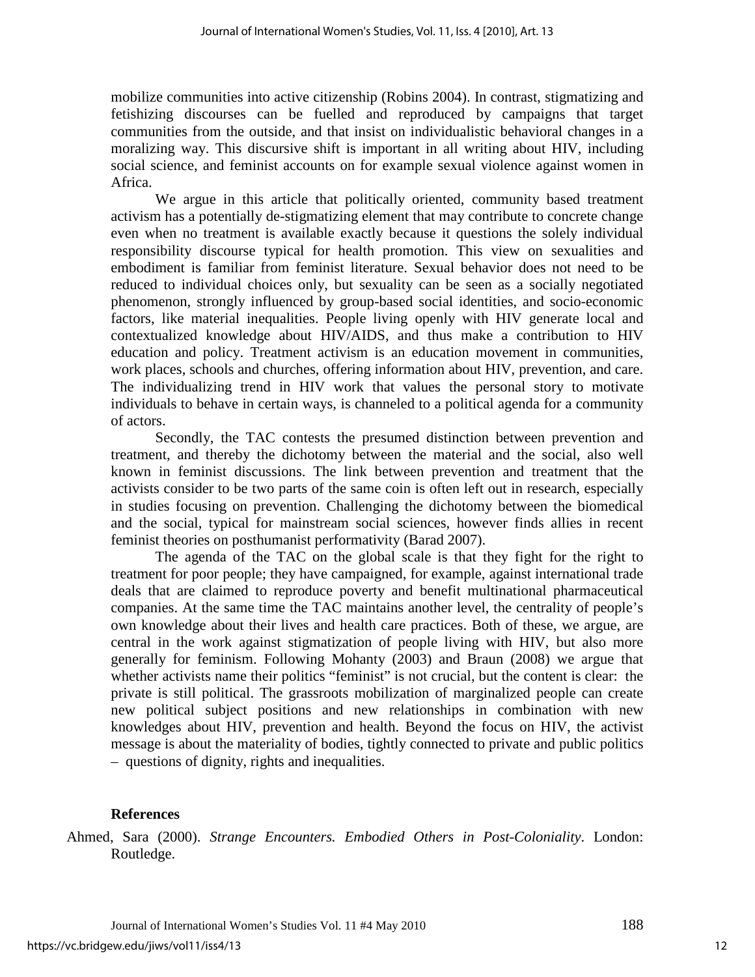mobilize communities into active citizenship (Robins 2004). In contrast, stigmatizing and fetishizing discourses can be fuelled and reproduced by campaigns that target communities from the outside, and that insist on individualistic behavioral changes in a moralizing way. This discursive shift is important in all writing about HIV, including social science, and feminist accounts on for example sexual violence against women in Africa.

 We argue in this article that politically oriented, community based treatment activism has a potentially de-stigmatizing element that may contribute to concrete change even when no treatment is available exactly because it questions the solely individual responsibility discourse typical for health promotion. This view on sexualities and embodiment is familiar from feminist literature. Sexual behavior does not need to be reduced to individual choices only, but sexuality can be seen as a socially negotiated phenomenon, strongly influenced by group-based social identities, and socio-economic factors, like material inequalities. People living openly with HIV generate local and contextualized knowledge about HIV/AIDS, and thus make a contribution to HIV education and policy. Treatment activism is an education movement in communities, work places, schools and churches, offering information about HIV, prevention, and care. The individualizing trend in HIV work that values the personal story to motivate individuals to behave in certain ways, is channeled to a political agenda for a community of actors.

Secondly, the TAC contests the presumed distinction between prevention and treatment, and thereby the dichotomy between the material and the social, also well known in feminist discussions. The link between prevention and treatment that the activists consider to be two parts of the same coin is often left out in research, especially in studies focusing on prevention. Challenging the dichotomy between the biomedical and the social, typical for mainstream social sciences, however finds allies in recent feminist theories on posthumanist performativity (Barad 2007).

The agenda of the TAC on the global scale is that they fight for the right to treatment for poor people; they have campaigned, for example, against international trade deals that are claimed to reproduce poverty and benefit multinational pharmaceutical companies. At the same time the TAC maintains another level, the centrality of people's own knowledge about their lives and health care practices. Both of these, we argue, are central in the work against stigmatization of people living with HIV, but also more generally for feminism. Following Mohanty (2003) and Braun (2008) we argue that whether activists name their politics "feminist" is not crucial, but the content is clear: the private is still political. The grassroots mobilization of marginalized people can create new political subject positions and new relationships in combination with new knowledges about HIV, prevention and health. Beyond the focus on HIV, the activist message is about the materiality of bodies, tightly connected to private and public politics – questions of dignity, rights and inequalities.

# **References**

Ahmed, Sara (2000). *Strange Encounters. Embodied Others in Post-Coloniality*. London: Routledge.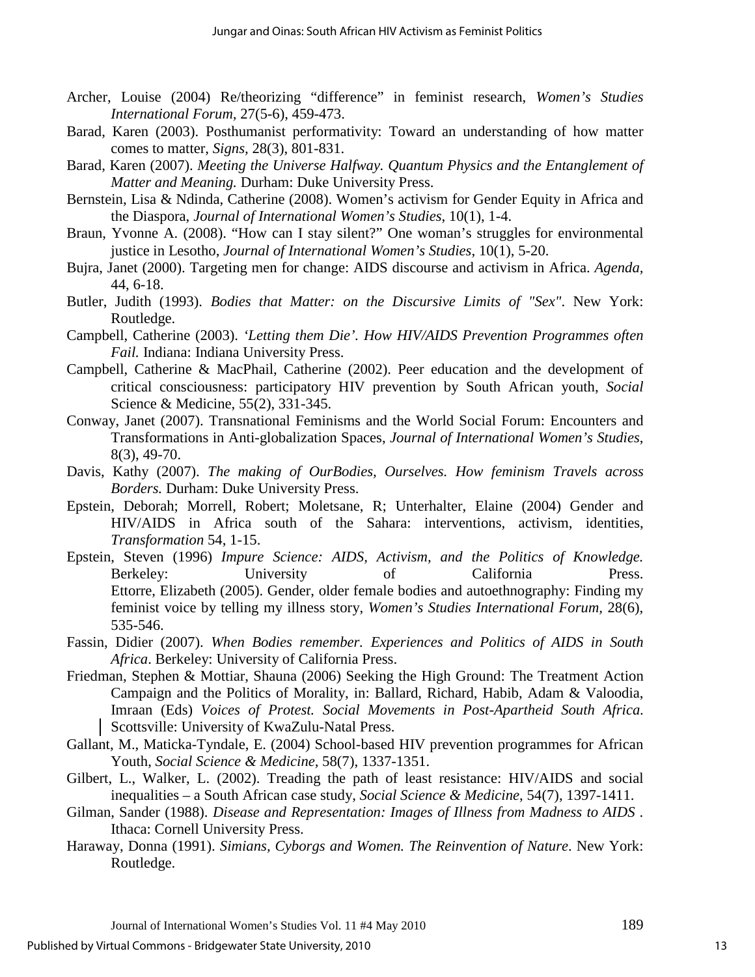- Archer, Louise (2004) Re/theorizing "difference" in feminist research, *Women's Studies International Forum,* 27(5-6), 459-473.
- Barad, Karen (2003). Posthumanist performativity: Toward an understanding of how matter comes to matter, *Signs,* 28(3), 801-831.
- Barad, Karen (2007). *Meeting the Universe Halfway. Quantum Physics and the Entanglement of Matter and Meaning.* Durham: Duke University Press.
- Bernstein, Lisa & Ndinda, Catherine (2008). Women's activism for Gender Equity in Africa and the Diaspora, *Journal of International Women's Studies*, 10(1), 1-4.
- Braun, Yvonne A. (2008). "How can I stay silent?" One woman's struggles for environmental justice in Lesotho, *Journal of International Women's Studies*, 10(1), 5-20.
- Bujra, Janet (2000). Targeting men for change: AIDS discourse and activism in Africa. *Agenda,* 44, 6-18.
- Butler, Judith (1993). *Bodies that Matter: on the Discursive Limits of "Sex"*. New York: Routledge.
- Campbell, Catherine (2003). *'Letting them Die'. How HIV/AIDS Prevention Programmes often Fail.* Indiana: Indiana University Press.
- Campbell, Catherine & MacPhail, Catherine (2002). Peer education and the development of critical consciousness: participatory HIV prevention by South African youth, *Social*  Science & Medicine, 55(2), 331-345.
- Conway, Janet (2007). Transnational Feminisms and the World Social Forum: Encounters and Transformations in Anti-globalization Spaces, *Journal of International Women's Studies*, 8(3), 49-70.
- Davis, Kathy (2007). *The making of OurBodies, Ourselves. How feminism Travels across Borders.* Durham: Duke University Press.
- Epstein, Deborah; Morrell, Robert; Moletsane, R; Unterhalter, Elaine (2004) Gender and HIV/AIDS in Africa south of the Sahara: interventions, activism, identities, *Transformation* 54, 1-15.
- Epstein, Steven (1996) *Impure Science: AIDS, Activism, and the Politics of Knowledge.*  Berkeley: University of California Press. Ettorre, Elizabeth (2005). Gender, older female bodies and autoethnography: Finding my feminist voice by telling my illness story, *Women's Studies International Forum,* 28(6), 535-546.
- Fassin, Didier (2007). *When Bodies remember. Experiences and Politics of AIDS in South Africa*. Berkeley: University of California Press.
- Friedman, Stephen & Mottiar, Shauna (2006) Seeking the High Ground: The Treatment Action Campaign and the Politics of Morality, in: Ballard, Richard, Habib, Adam & Valoodia, Imraan (Eds) *Voices of Protest. Social Movements in Post-Apartheid South Africa*. Scottsville: University of KwaZulu-Natal Press.
- Gallant, M., Maticka-Tyndale, E. (2004) School-based HIV prevention programmes for African Youth, *Social Science & Medicine,* 58(7), 1337-1351.
- Gilbert, L., Walker, L. (2002). Treading the path of least resistance: HIV/AIDS and social inequalities – a South African case study, *Social Science & Medicine*, 54(7), 1397-1411.
- Gilman, Sander (1988). *Disease and Representation: Images of Illness from Madness to AIDS* . Ithaca: Cornell University Press.
- Haraway, Donna (1991). *Simians, Cyborgs and Women. The Reinvention of Nature*. New York: Routledge.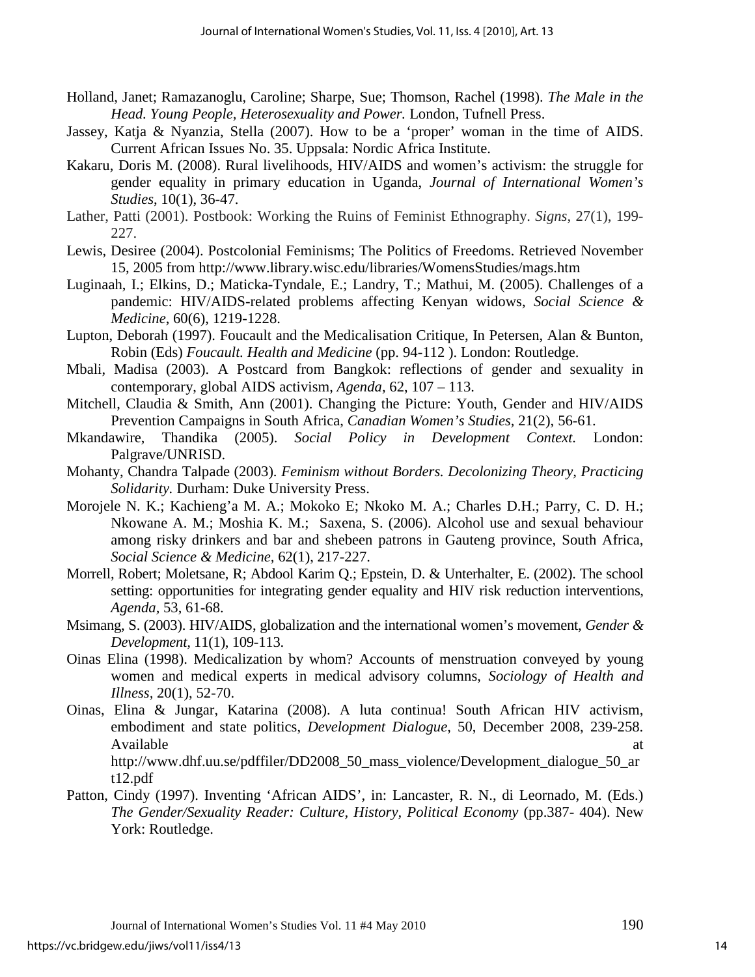- Holland, Janet; Ramazanoglu, Caroline; Sharpe, Sue; Thomson, Rachel (1998). *The Male in the Head. Young People, Heterosexuality and Power.* London, Tufnell Press.
- Jassey, Katja & Nyanzia, Stella (2007). How to be a 'proper' woman in the time of AIDS. Current African Issues No. 35. Uppsala: Nordic Africa Institute.
- Kakaru, Doris M. (2008). Rural livelihoods, HIV/AIDS and women's activism: the struggle for gender equality in primary education in Uganda, *Journal of International Women's Studies*, 10(1), 36-47.
- Lather, Patti (2001). Postbook: Working the Ruins of Feminist Ethnography. *Signs*, 27(1), 199- 227.
- Lewis, Desiree (2004). Postcolonial Feminisms; The Politics of Freedoms. Retrieved November 15, 2005 from http://www.library.wisc.edu/libraries/WomensStudies/mags.htm
- Luginaah, I.; Elkins, D.; Maticka-Tyndale, E.; Landry, T.; Mathui, M. (2005). Challenges of a pandemic: HIV/AIDS-related problems affecting Kenyan widows, *Social Science & Medicine*, 60(6), 1219-1228.
- Lupton, Deborah (1997). Foucault and the Medicalisation Critique, In Petersen, Alan & Bunton, Robin (Eds) *Foucault. Health and Medicine* (pp. 94-112 ). London: Routledge.
- Mbali, Madisa (2003). A Postcard from Bangkok: reflections of gender and sexuality in contemporary, global AIDS activism, *Agenda,* 62, 107 – 113.
- Mitchell, Claudia & Smith, Ann (2001). Changing the Picture: Youth, Gender and HIV/AIDS Prevention Campaigns in South Africa, *Canadian Women's Studies,* 21(2), 56-61.
- Mkandawire, Thandika (2005). *Social Policy in Development Context.* London: Palgrave/UNRISD.
- Mohanty, Chandra Talpade (2003). *Feminism without Borders. Decolonizing Theory, Practicing Solidarity.* Durham: Duke University Press.
- Morojele N. K.; Kachieng'a M. A.; Mokoko E; Nkoko M. A.; Charles D.H.; Parry, C. D. H.; Nkowane A. M.; Moshia K. M.; Saxena, S. (2006). Alcohol use and sexual behaviour among risky drinkers and bar and shebeen patrons in Gauteng province, South Africa, *Social Science & Medicine,* 62(1), 217-227.
- Morrell, Robert; Moletsane, R; Abdool Karim Q.; Epstein, D. & Unterhalter, E. (2002). The school setting: opportunities for integrating gender equality and HIV risk reduction interventions, *Agenda,* 53, 61-68.
- Msimang, S. (2003). HIV/AIDS, globalization and the international women's movement, *Gender & Development,* 11(1), 109-113.
- Oinas Elina (1998). Medicalization by whom? Accounts of menstruation conveyed by young women and medical experts in medical advisory columns, *Sociology of Health and Illness,* 20(1), 52-70.
- Oinas, Elina & Jungar, Katarina (2008). A luta continua! South African HIV activism, embodiment and state politics, *Development Dialogue,* 50, December 2008, 239-258. Available at a state of  $\alpha$  at a state of  $\alpha$  at a state of  $\alpha$  at a state of  $\alpha$  at a state of  $\alpha$  at a state of  $\alpha$  at a state of  $\alpha$  at a state of  $\alpha$  at a state of  $\alpha$  at a state of  $\alpha$  at a state of  $\alpha$  at http://www.dhf.uu.se/pdffiler/DD2008\_50\_mass\_violence/Development\_dialogue\_50\_ar t12.pdf
- Patton, Cindy (1997). Inventing 'African AIDS', in: Lancaster, R. N., di Leornado, M. (Eds.) *The Gender/Sexuality Reader: Culture, History, Political Economy* (pp.387- 404). New York: Routledge.